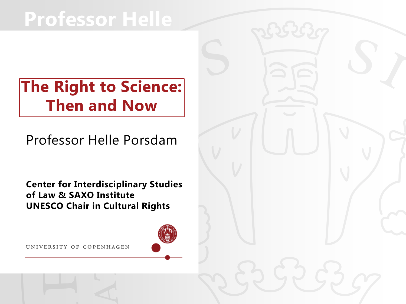## **Professor Helle**

#### **The Right to Science: Then and Now**

Professor Helle Porsdam

**Center for Interdisciplinary Studies of Law & SAXO Institute UNESCO Chair in Cultural Rights**

UNIVERSITY OF COPENHAGEN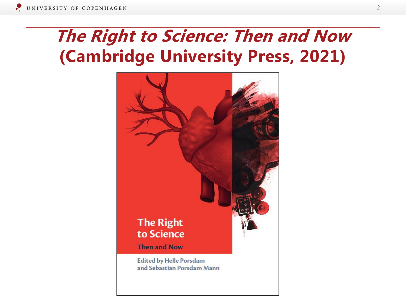### **The Right to Science: Then and Now (Cambridge University Press, 2021)**

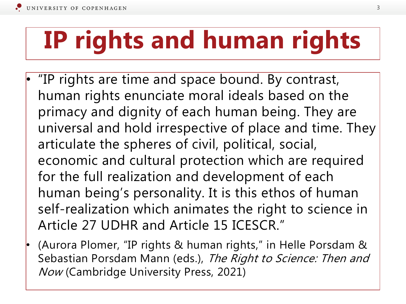# **IP rights and human rights**

- "IP rights are time and space bound. By contrast, human rights enunciate moral ideals based on the primacy and dignity of each human being. They are universal and hold irrespective of place and time. They articulate the spheres of civil, political, social, economic and cultural protection which are required for the full realization and development of each human being's personality. It is this ethos of human self-realization which animates the right to science in Article 27 UDHR and Article 15 ICESCR."
- (Aurora Plomer, "IP rights & human rights," in Helle Porsdam & Sebastian Porsdam Mann (eds.), The Right to Science: Then and Now (Cambridge University Press, 2021)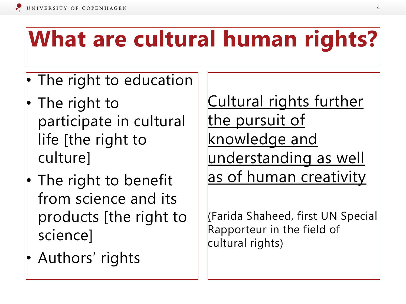# **What are cultural human rights?**

- The right to education
- The right to participate in cultural life [the right to culture]
- The right to benefit from science and its products [the right to science]
- Authors' rights

Cultural rights further the pursuit of knowledge and understanding as well as of human creativity

(Farida Shaheed, first UN Special Rapporteur in the field of cultural rights)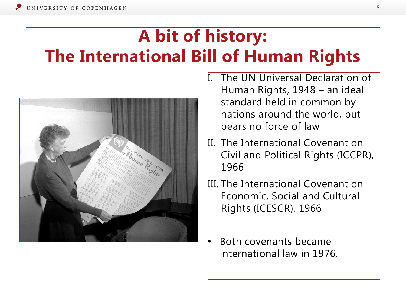### **A bit of history: The International Bill of Human Rights**



- The UN Universal Declaration of Human Rights, 1948 – an ideal standard held in common by nations around the world, but bears no force of law
- II. The International Covenant on Civil and Political Rights (ICCPR), 1966
- III. The International Covenant on Economic, Social and Cultural Rights (ICESCR), 1966
	- Both covenants became international law in 1976.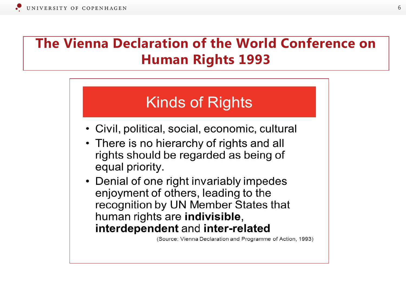#### **The Vienna Declaration of the World Conference on Human Rights 1993**

#### **Kinds of Rights**

- Civil, political, social, economic, cultural
- There is no hierarchy of rights and all rights should be regarded as being of equal priority.
- Denial of one right invariably impedes enjoyment of others, leading to the recognition by UN Member States that human rights are indivisible, interdependent and inter-related

(Source: Vienna Declaration and Programme of Action, 1993)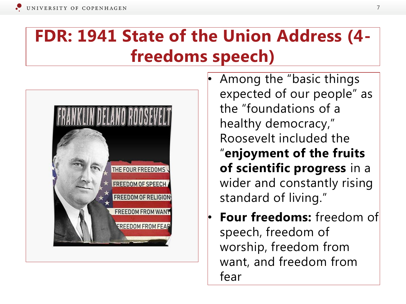### **FDR: 1941 State of the Union Address (4 freedoms speech)**



- Among the "basic things expected of our people" as the "foundations of a healthy democracy," Roosevelt included the "**enjoyment of the fruits of scientific progress** in a wider and constantly rising standard of living."
- **Four freedoms:** freedom of speech, freedom of worship, freedom from want, and freedom from fear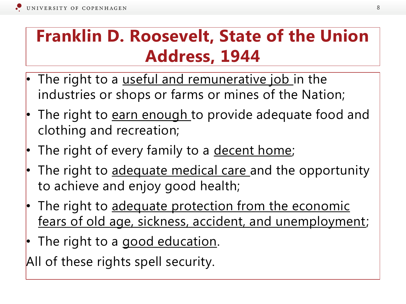#### **Franklin D. Roosevelt, State of the Union Address, 1944**

- The right to a useful and remunerative job in the industries or shops or farms or mines of the Nation;
- The right to **earn enough** to provide adequate food and clothing and recreation;
- The right of every family to a decent home;
- The right to adequate medical care and the opportunity to achieve and enjoy good health;
- The right to adequate protection from the economic fears of old age, sickness, accident, and unemployment;
- The right to a good education.

All of these rights spell security.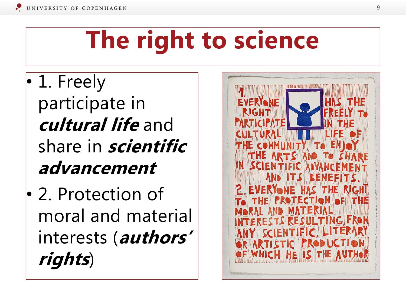# **The right to science**

- 1. Freely participate in **cultural life** and share in **scientific advancement**
- 2. Protection of moral and material interests (**authors' rights**)

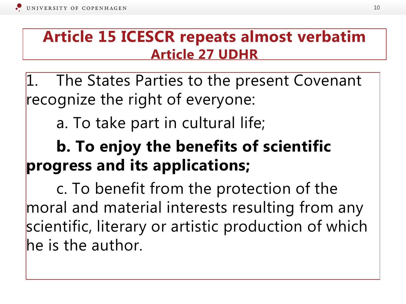#### **Article 15 ICESCR repeats almost verbatim Article 27 UDHR**

The States Parties to the present Covenant recognize the right of everyone:

a. To take part in cultural life;

### **b. To enjoy the benefits of scientific progress and its applications;**

c. To benefit from the protection of the moral and material interests resulting from any scientific, literary or artistic production of which he is the author.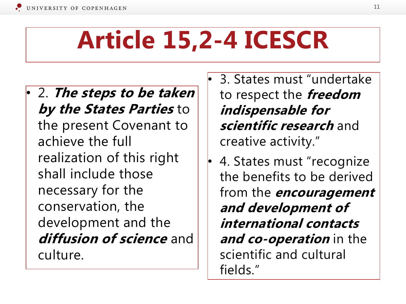# **Article 15,2-4 ICESCR**

- 2. **The steps to be taken by the States Parties** to the present Covenant to achieve the full realization of this right shall include those necessary for the conservation, the development and the **diffusion of science** and culture.
- 3. States must "undertake to respect the **freedom indispensable for scientific research** and creative activity."
- 4. States must "recognize the benefits to be derived from the **encouragement and development of international contacts and co-operation** in the scientific and cultural fields."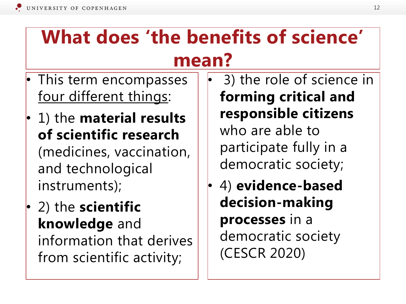## **What does 'the benefits of science' mean?**

- This term encompasses four different things:
- 1) the **material results of scientific research**  (medicines, vaccination, and technological instruments);
- 2) the **scientific knowledge** and information that derives from scientific activity;
- 3) the role of science in **forming critical and responsible citizens**  who are able to participate fully in a democratic society;
- 4) **evidence-based decision-making processes** in a democratic society (CESCR 2020)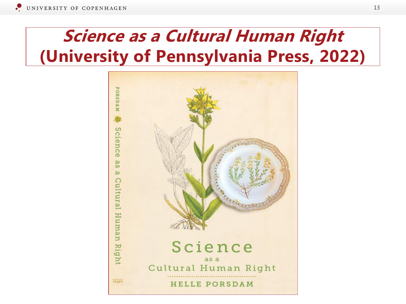### **Science as a Cultural Human Right (University of Pennsylvania Press, 2022)**

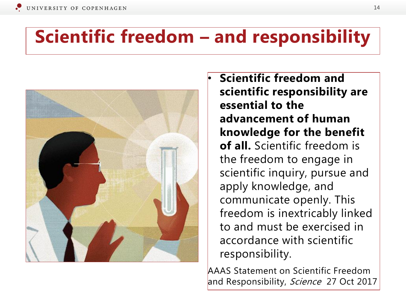#### **Scientific freedom – and responsibility**



• **Scientific freedom and scientific responsibility are essential to the advancement of human knowledge for the benefit of all.** Scientific freedom is the freedom to engage in scientific inquiry, pursue and apply knowledge, and communicate openly. This freedom is inextricably linked to and must be exercised in accordance with scientific responsibility.

AAAS Statement on Scientific Freedom and Responsibility, Science 27 Oct 2017